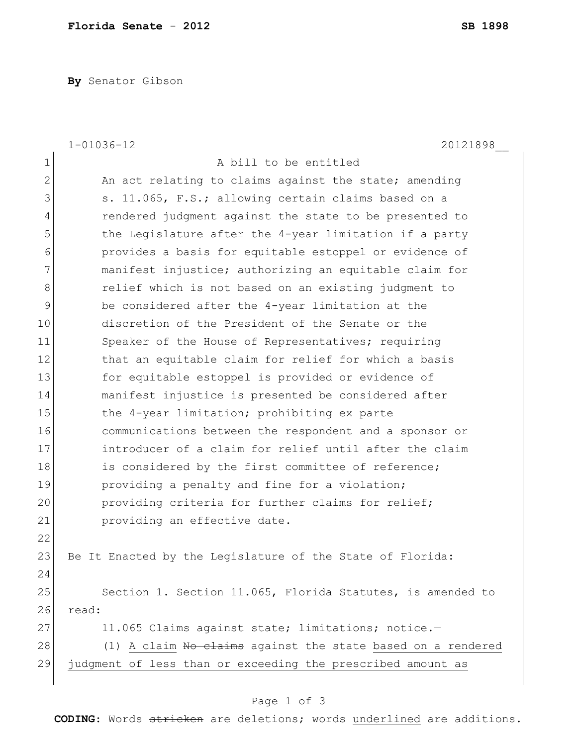**By** Senator Gibson

|                | $1 - 01036 - 12$<br>20121898                                |
|----------------|-------------------------------------------------------------|
| $\mathbf 1$    | A bill to be entitled                                       |
| $\overline{2}$ | An act relating to claims against the state; amending       |
| 3              | s. 11.065, F.S.; allowing certain claims based on a         |
| $\overline{4}$ | rendered judgment against the state to be presented to      |
| 5              | the Legislature after the 4-year limitation if a party      |
| 6              | provides a basis for equitable estoppel or evidence of      |
| 7              | manifest injustice; authorizing an equitable claim for      |
| 8              | relief which is not based on an existing judgment to        |
| 9              | be considered after the 4-year limitation at the            |
| 10             | discretion of the President of the Senate or the            |
| 11             | Speaker of the House of Representatives; requiring          |
| 12             | that an equitable claim for relief for which a basis        |
| 13             | for equitable estoppel is provided or evidence of           |
| 14             | manifest injustice is presented be considered after         |
| 15             | the 4-year limitation; prohibiting ex parte                 |
| 16             | communications between the respondent and a sponsor or      |
| 17             | introducer of a claim for relief until after the claim      |
| 18             | is considered by the first committee of reference;          |
| 19             | providing a penalty and fine for a violation;               |
| 20             | providing criteria for further claims for relief;           |
| 21             | providing an effective date.                                |
| 22             |                                                             |
| 23             | Be It Enacted by the Legislature of the State of Florida:   |
| 24             |                                                             |
| 25             | Section 1. Section 11.065, Florida Statutes, is amended to  |
| 26             | read:                                                       |
| 27             | 11.065 Claims against state; limitations; notice.-          |
| 28             | (1) A claim No claims against the state based on a rendered |
| 29             | judgment of less than or exceeding the prescribed amount as |
|                |                                                             |

## Page 1 of 3

**CODING**: Words stricken are deletions; words underlined are additions.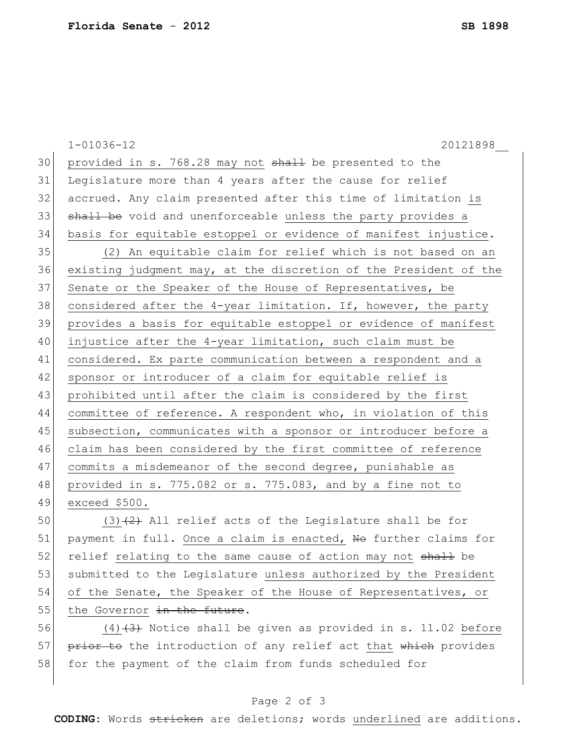1-01036-12 20121898\_\_ 30 provided in s. 768.28 may not  $shall$  be presented to the Legislature more than 4 years after the cause for relief accrued. Any claim presented after this time of limitation is 33 shall be void and unenforceable unless the party provides a basis for equitable estoppel or evidence of manifest injustice. (2) An equitable claim for relief which is not based on an existing judgment may, at the discretion of the President of the 37 Senate or the Speaker of the House of Representatives, be 38 considered after the  $4$ -year limitation. If, however, the party provides a basis for equitable estoppel or evidence of manifest injustice after the 4-year limitation, such claim must be considered. Ex parte communication between a respondent and a 42 sponsor or introducer of a claim for equitable relief is prohibited until after the claim is considered by the first committee of reference. A respondent who, in violation of this 45 subsection, communicates with a sponsor or introducer before a claim has been considered by the first committee of reference commits a misdemeanor of the second degree, punishable as provided in s. 775.082 or s. 775.083, and by a fine not to exceed \$500. 50 (3) $\left(2\right)$  All relief acts of the Legislature shall be for

51 payment in full. Once a claim is enacted, No further claims for 52 relief relating to the same cause of action may not shall be 53 submitted to the Legislature unless authorized by the President 54 of the Senate, the Speaker of the House of Representatives, or 55 the Governor  $\frac{1}{2}$  the future.

56  $(4)$   $(3)$  Notice shall be given as provided in s. 11.02 before 57 prior to the introduction of any relief act that which provides 58 for the payment of the claim from funds scheduled for

## Page 2 of 3

**CODING**: Words stricken are deletions; words underlined are additions.